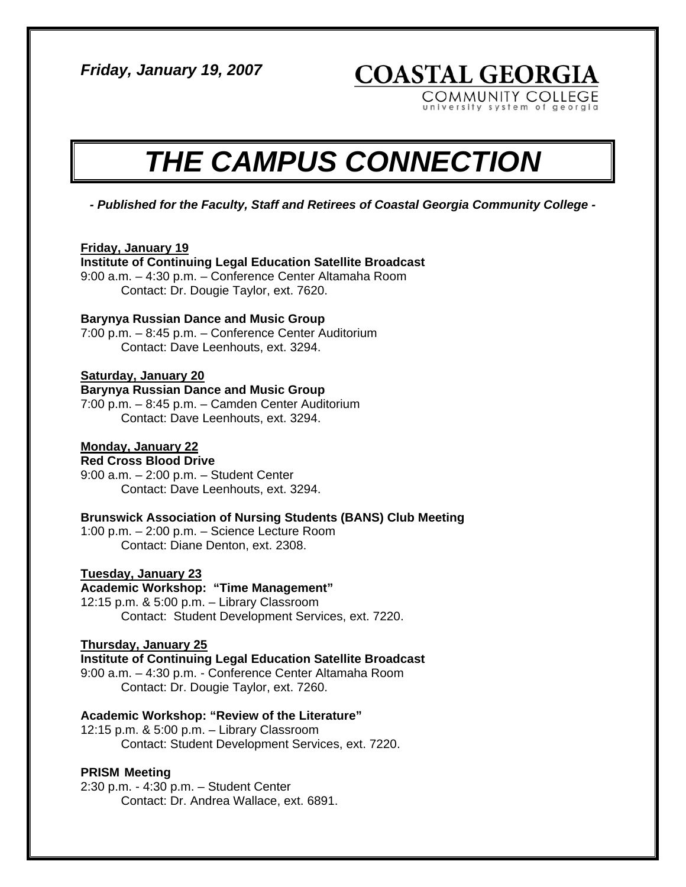*Friday, January 19, 2007* 

**COASTAL GEORGIA** 

COMMUNITY COLLEGE versity system of georgia

# *THE CAMPUS CONNECTION*

*- Published for the Faculty, Staff and Retirees of Coastal Georgia Community College -* 

# **Friday, January 19**

# **Institute of Continuing Legal Education Satellite Broadcast**

9:00 a.m. – 4:30 p.m. – Conference Center Altamaha Room Contact: Dr. Dougie Taylor, ext. 7620.

# **Barynya Russian Dance and Music Group**

7:00 p.m. – 8:45 p.m. – Conference Center Auditorium Contact: Dave Leenhouts, ext. 3294.

# **Saturday, January 20**

# **Barynya Russian Dance and Music Group**

7:00 p.m. – 8:45 p.m. – Camden Center Auditorium Contact: Dave Leenhouts, ext. 3294.

# **Monday, January 22**

**Red Cross Blood Drive**  9:00 a.m. – 2:00 p.m. – Student Center Contact: Dave Leenhouts, ext. 3294.

# **Brunswick Association of Nursing Students (BANS) Club Meeting**

1:00 p.m. – 2:00 p.m. – Science Lecture Room Contact: Diane Denton, ext. 2308.

# **Tuesday, January 23**

# **Academic Workshop: "Time Management"**

12:15 p.m. & 5:00 p.m. – Library Classroom Contact: Student Development Services, ext. 7220.

#### **Thursday, January 25**

# **Institute of Continuing Legal Education Satellite Broadcast**

9:00 a.m. – 4:30 p.m. - Conference Center Altamaha Room Contact: Dr. Dougie Taylor, ext. 7260.

# **Academic Workshop: "Review of the Literature"**

12:15 p.m. & 5:00 p.m. – Library Classroom Contact: Student Development Services, ext. 7220.

# **PRISM Meeting**

2:30 p.m. - 4:30 p.m. – Student Center Contact: Dr. Andrea Wallace, ext. 6891.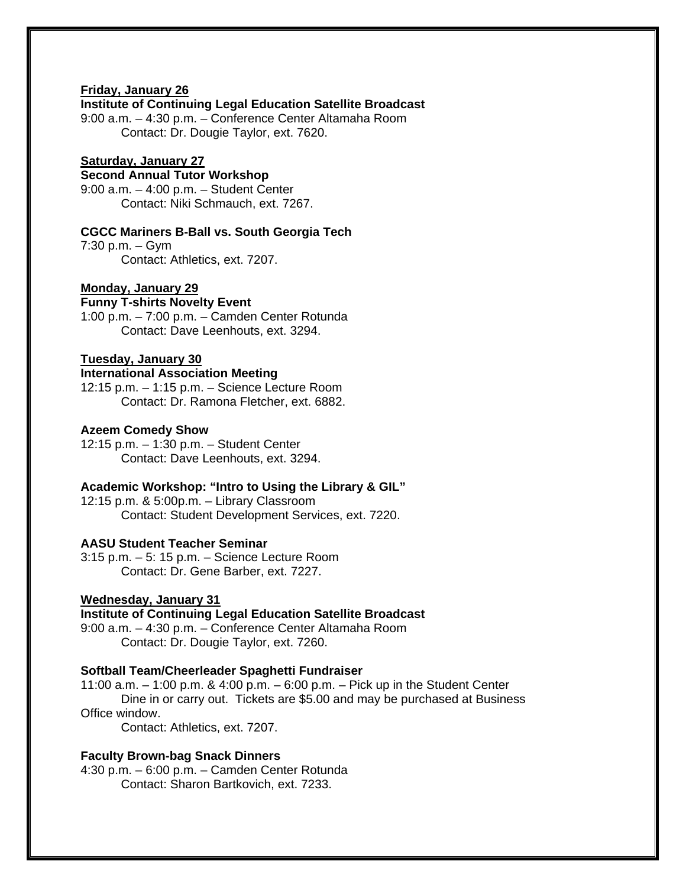# **Friday, January 26**

#### **Institute of Continuing Legal Education Satellite Broadcast**

9:00 a.m. – 4:30 p.m. – Conference Center Altamaha Room Contact: Dr. Dougie Taylor, ext. 7620.

# **Saturday, January 27**

# **Second Annual Tutor Workshop**

9:00 a.m. – 4:00 p.m. – Student Center Contact: Niki Schmauch, ext. 7267.

# **CGCC Mariners B-Ball vs. South Georgia Tech**

7:30 p.m. – Gym Contact: Athletics, ext. 7207.

## **Monday, January 29**

# **Funny T-shirts Novelty Event**

1:00 p.m. – 7:00 p.m. – Camden Center Rotunda Contact: Dave Leenhouts, ext. 3294.

# **Tuesday, January 30**

# **International Association Meeting**

12:15 p.m. – 1:15 p.m. – Science Lecture Room Contact: Dr. Ramona Fletcher, ext. 6882.

#### **Azeem Comedy Show**

12:15 p.m. – 1:30 p.m. – Student Center Contact: Dave Leenhouts, ext. 3294.

# **Academic Workshop: "Intro to Using the Library & GIL"**

12:15 p.m. & 5:00p.m. – Library Classroom Contact: Student Development Services, ext. 7220.

# **AASU Student Teacher Seminar**

3:15 p.m. – 5: 15 p.m. – Science Lecture Room Contact: Dr. Gene Barber, ext. 7227.

#### **Wednesday, January 31**

# **Institute of Continuing Legal Education Satellite Broadcast**

9:00 a.m. – 4:30 p.m. – Conference Center Altamaha Room Contact: Dr. Dougie Taylor, ext. 7260.

# **Softball Team/Cheerleader Spaghetti Fundraiser**

11:00 a.m. – 1:00 p.m. & 4:00 p.m. – 6:00 p.m. – Pick up in the Student Center Dine in or carry out. Tickets are \$5.00 and may be purchased at Business Office window.

Contact: Athletics, ext. 7207.

#### **Faculty Brown-bag Snack Dinners**

4:30 p.m. – 6:00 p.m. – Camden Center Rotunda Contact: Sharon Bartkovich, ext. 7233.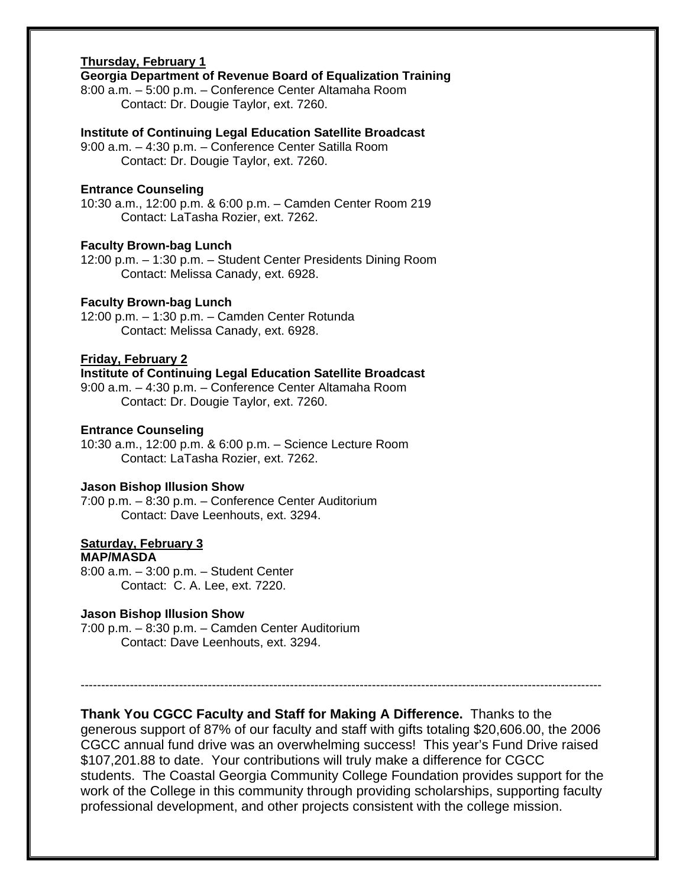# **Thursday, February 1**

# **Georgia Department of Revenue Board of Equalization Training**

8:00 a.m. – 5:00 p.m. – Conference Center Altamaha Room Contact: Dr. Dougie Taylor, ext. 7260.

#### **Institute of Continuing Legal Education Satellite Broadcast**

9:00 a.m. – 4:30 p.m. – Conference Center Satilla Room Contact: Dr. Dougie Taylor, ext. 7260.

#### **Entrance Counseling**

10:30 a.m., 12:00 p.m. & 6:00 p.m. – Camden Center Room 219 Contact: LaTasha Rozier, ext. 7262.

# **Faculty Brown-bag Lunch**

12:00 p.m. – 1:30 p.m. – Student Center Presidents Dining Room Contact: Melissa Canady, ext. 6928.

# **Faculty Brown-bag Lunch**

12:00 p.m. – 1:30 p.m. – Camden Center Rotunda Contact: Melissa Canady, ext. 6928.

# **Friday, February 2**

**Institute of Continuing Legal Education Satellite Broadcast** 

9:00 a.m. – 4:30 p.m. – Conference Center Altamaha Room Contact: Dr. Dougie Taylor, ext. 7260.

#### **Entrance Counseling**

10:30 a.m., 12:00 p.m. & 6:00 p.m. – Science Lecture Room Contact: LaTasha Rozier, ext. 7262.

# **Jason Bishop Illusion Show**

7:00 p.m. – 8:30 p.m. – Conference Center Auditorium Contact: Dave Leenhouts, ext. 3294.

# **Saturday, February 3**

# **MAP/MASDA**

8:00 a.m. – 3:00 p.m. – Student Center Contact: C. A. Lee, ext. 7220.

#### **Jason Bishop Illusion Show**

7:00 p.m. – 8:30 p.m. – Camden Center Auditorium Contact: Dave Leenhouts, ext. 3294.

**Thank You CGCC Faculty and Staff for Making A Difference.** Thanks to the generous support of 87% of our faculty and staff with gifts totaling \$20,606.00, the 2006 CGCC annual fund drive was an overwhelming success! This year's Fund Drive raised \$107,201.88 to date. Your contributions will truly make a difference for CGCC students. The Coastal Georgia Community College Foundation provides support for the work of the College in this community through providing scholarships, supporting faculty professional development, and other projects consistent with the college mission.

-------------------------------------------------------------------------------------------------------------------------------